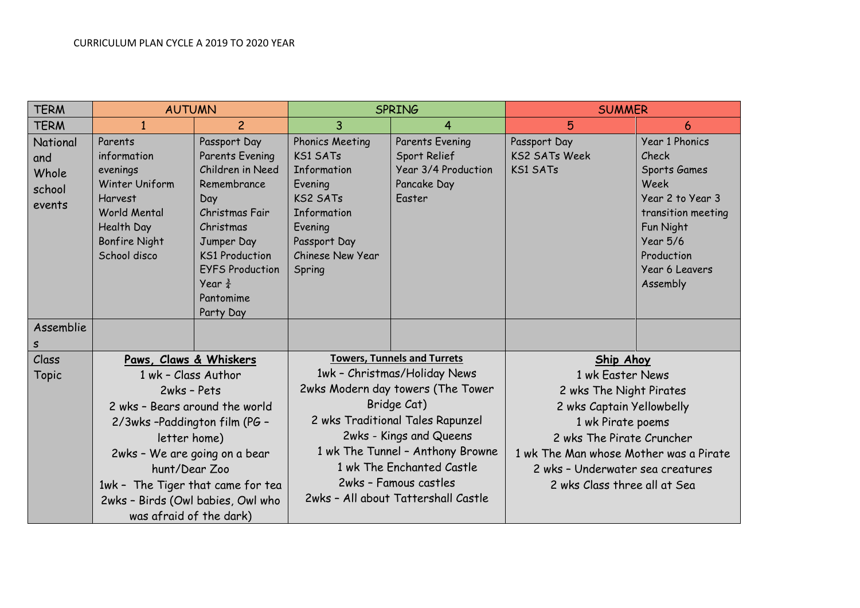| <b>TERM</b>                                  | <b>AUTUMN</b>                                                                                                                                                                                                                                                               |                                                                                                                                                                                                                           | <b>SPRING</b>                                                                                                                                                                                                                                                                                                          |                                                                                        | <b>SUMMER</b>                                                                                                                                                                                                                                                |                                                                                                                                                                              |
|----------------------------------------------|-----------------------------------------------------------------------------------------------------------------------------------------------------------------------------------------------------------------------------------------------------------------------------|---------------------------------------------------------------------------------------------------------------------------------------------------------------------------------------------------------------------------|------------------------------------------------------------------------------------------------------------------------------------------------------------------------------------------------------------------------------------------------------------------------------------------------------------------------|----------------------------------------------------------------------------------------|--------------------------------------------------------------------------------------------------------------------------------------------------------------------------------------------------------------------------------------------------------------|------------------------------------------------------------------------------------------------------------------------------------------------------------------------------|
| <b>TERM</b>                                  |                                                                                                                                                                                                                                                                             | $\overline{c}$                                                                                                                                                                                                            | 3                                                                                                                                                                                                                                                                                                                      | 4                                                                                      | 5                                                                                                                                                                                                                                                            | 6                                                                                                                                                                            |
| National<br>and<br>Whole<br>school<br>events | Parents<br>information<br>evenings<br>Winter Uniform<br><b>Harvest</b><br><b>World Mental</b><br>Health Day<br><b>Bonfire Night</b><br>School disco                                                                                                                         | Passport Day<br>Parents Evening<br>Children in Need<br>Remembrance<br>Day<br>Christmas Fair<br>Christmas<br>Jumper Day<br><b>KS1 Production</b><br><b>EYFS Production</b><br>Year $\frac{3}{4}$<br>Pantomime<br>Party Day | <b>Phonics Meeting</b><br><b>KS1 SATs</b><br>Information<br>Evening<br><b>KS2 SATs</b><br>Information<br>Evening<br>Passport Day<br>Chinese New Year<br>Spring                                                                                                                                                         | <b>Parents Evening</b><br>Sport Relief<br>Year 3/4 Production<br>Pancake Day<br>Easter | Passport Day<br><b>KS2 SATs Week</b><br><b>KS1 SATs</b>                                                                                                                                                                                                      | <b>Year 1 Phonics</b><br>Check<br>Sports Games<br>Week<br>Year 2 to Year 3<br>transition meeting<br>Fun Night<br><b>Year 5/6</b><br>Production<br>Year 6 Leavers<br>Assembly |
| Assemblie<br>S                               |                                                                                                                                                                                                                                                                             |                                                                                                                                                                                                                           |                                                                                                                                                                                                                                                                                                                        |                                                                                        |                                                                                                                                                                                                                                                              |                                                                                                                                                                              |
| Class                                        | Paws, Claws & Whiskers                                                                                                                                                                                                                                                      |                                                                                                                                                                                                                           |                                                                                                                                                                                                                                                                                                                        |                                                                                        |                                                                                                                                                                                                                                                              |                                                                                                                                                                              |
| <b>Topic</b>                                 | 1 wk - Class Author<br>2wks - Pets<br>2 wks - Bears around the world<br>2/3wks-Paddington film (PG -<br>letter home)<br>2wks - We are going on a bear<br>hunt/Dear Zoo<br>1wk - The Tiger that came for tea<br>2wks - Birds (Owl babies, Owl who<br>was afraid of the dark) |                                                                                                                                                                                                                           | <b>Towers, Tunnels and Turrets</b><br>1wk - Christmas/Holiday News<br>2wks Modern day towers (The Tower<br>Bridge Cat)<br>2 wks Traditional Tales Rapunzel<br>2wks - Kings and Queens<br>1 wk The Tunnel - Anthony Browne<br>1 wk The Enchanted Castle<br>2wks - Famous castles<br>2wks - All about Tattershall Castle |                                                                                        | <b>Ship Ahoy</b><br>1 wk Easter News<br>2 wks The Night Pirates<br>2 wks Captain Yellowbelly<br>1 wk Pirate poems<br>2 wks The Pirate Cruncher<br>1 wk The Man whose Mother was a Pirate<br>2 wks - Underwater sea creatures<br>2 wks Class three all at Sea |                                                                                                                                                                              |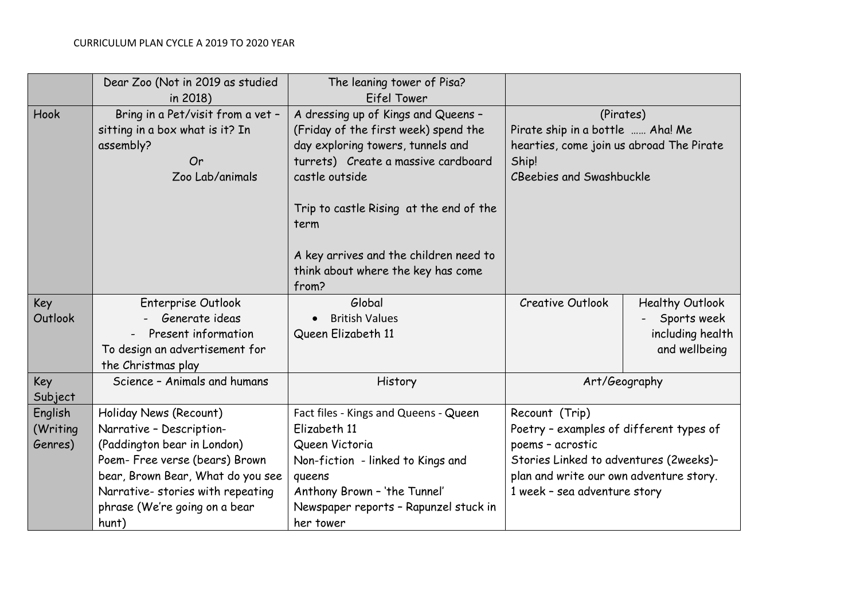|                                | Dear Zoo (Not in 2019 as studied<br>in 2018)                                                                                                                                                                                            | The leaning tower of Pisa?<br>Eifel Tower                                                                                                                                                                                                                                                                             |                                                                                                                                                                                                    |                                                                            |
|--------------------------------|-----------------------------------------------------------------------------------------------------------------------------------------------------------------------------------------------------------------------------------------|-----------------------------------------------------------------------------------------------------------------------------------------------------------------------------------------------------------------------------------------------------------------------------------------------------------------------|----------------------------------------------------------------------------------------------------------------------------------------------------------------------------------------------------|----------------------------------------------------------------------------|
| Hook                           | Bring in a Pet/visit from a vet -<br>sitting in a box what is it? In<br>assembly?<br>Or<br>Zoo Lab/animals                                                                                                                              | A dressing up of Kings and Queens -<br>(Friday of the first week) spend the<br>day exploring towers, tunnels and<br>turrets) Create a massive cardboard<br>castle outside<br>Trip to castle Rising at the end of the<br>term<br>A key arrives and the children need to<br>think about where the key has come<br>from? | (Pirates)<br>Pirate ship in a bottle  Aha! Me<br>hearties, come join us abroad The Pirate<br>Ship!<br><b>CBeebies and Swashbuckle</b>                                                              |                                                                            |
| Key<br>Outlook                 | Enterprise Outlook<br>Generate ideas<br>- Present information<br>To design an advertisement for<br>the Christmas play                                                                                                                   | Global<br><b>British Values</b><br>Queen Elizabeth 11                                                                                                                                                                                                                                                                 | <b>Creative Outlook</b>                                                                                                                                                                            | <b>Healthy Outlook</b><br>Sports week<br>including health<br>and wellbeing |
| Key<br>Subject                 | Science - Animals and humans                                                                                                                                                                                                            | History                                                                                                                                                                                                                                                                                                               |                                                                                                                                                                                                    | Art/Geography                                                              |
| English<br>(Writing<br>Genres) | Holiday News (Recount)<br>Narrative - Description-<br>(Paddington bear in London)<br>Poem- Free verse (bears) Brown<br>bear, Brown Bear, What do you see<br>Narrative- stories with repeating<br>phrase (We're going on a bear<br>hunt) | Fact files - Kings and Queens - Queen<br>Elizabeth 11<br>Queen Victoria<br>Non-fiction - linked to Kings and<br>queens<br>Anthony Brown - 'the Tunnel'<br>Newspaper reports - Rapunzel stuck in<br>her tower                                                                                                          | Recount (Trip)<br>Poetry - examples of different types of<br>poems - acrostic<br>Stories Linked to adventures (2weeks)-<br>plan and write our own adventure story.<br>1 week - sea adventure story |                                                                            |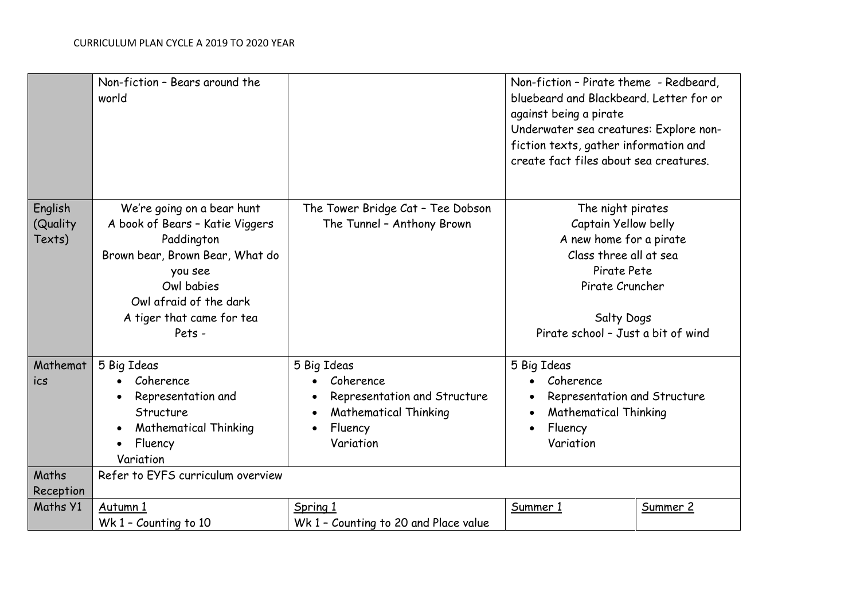|                               | Non-fiction - Bears around the<br>world                                                                                                                                                                                                                                     |                                                                                                                  | Non-fiction - Pirate theme - Redbeard,<br>bluebeard and Blackbeard. Letter for or<br>against being a pirate<br>Underwater sea creatures: Explore non-<br>fiction texts, gather information and<br>create fact files about sea creatures. |          |
|-------------------------------|-----------------------------------------------------------------------------------------------------------------------------------------------------------------------------------------------------------------------------------------------------------------------------|------------------------------------------------------------------------------------------------------------------|------------------------------------------------------------------------------------------------------------------------------------------------------------------------------------------------------------------------------------------|----------|
| English<br>(Quality<br>Texts) | We're going on a bear hunt<br>The Tower Bridge Cat - Tee Dobson<br>A book of Bears - Katie Viggers<br>The Tunnel - Anthony Brown<br>Paddington<br>Brown bear, Brown Bear, What do<br>you see<br>Owl babies<br>Owl afraid of the dark<br>A tiger that came for tea<br>Pets - |                                                                                                                  | The night pirates<br>Captain Yellow belly<br>A new home for a pirate<br>Class three all at sea<br>Pirate Pete<br>Pirate Cruncher<br><b>Salty Dogs</b><br>Pirate school - Just a bit of wind                                              |          |
| Mathemat<br>ics               | 5 Big Ideas<br>Coherence<br>Representation and<br>Structure<br><b>Mathematical Thinking</b><br>$\bullet$<br>Fluency<br>Variation                                                                                                                                            | 5 Big Ideas<br>Coherence<br>Representation and Structure<br><b>Mathematical Thinking</b><br>Fluency<br>Variation | 5 Big Ideas<br>Coherence<br>Representation and Structure<br><b>Mathematical Thinking</b><br>Fluency<br>Variation                                                                                                                         |          |
| Maths<br>Reception            | Refer to EYFS curriculum overview                                                                                                                                                                                                                                           |                                                                                                                  |                                                                                                                                                                                                                                          |          |
| Maths Y1                      | Autumn 1<br>Wk 1 - Counting to 10                                                                                                                                                                                                                                           | Spring 1<br>Wk 1 - Counting to 20 and Place value                                                                | Summer 1                                                                                                                                                                                                                                 | Summer 2 |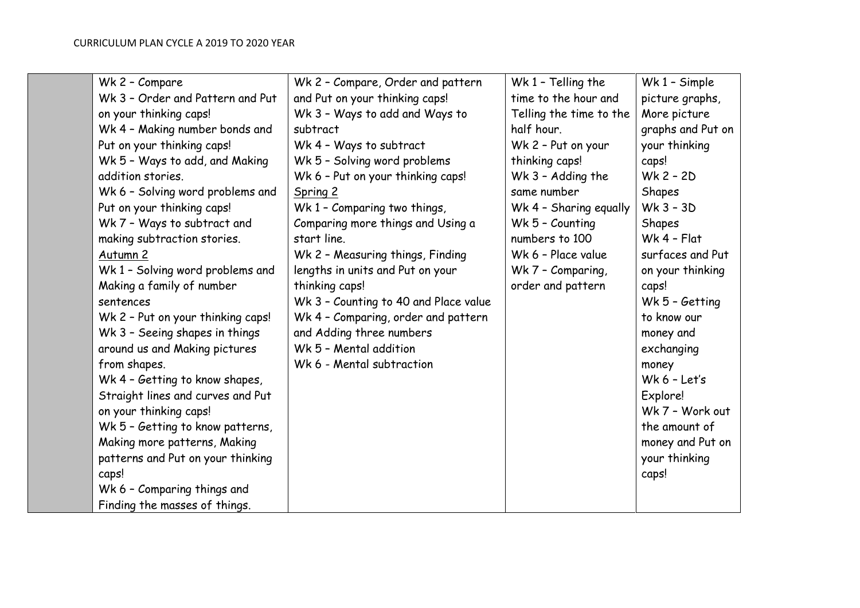| Wk 2 - Compare                    | Wk 2 - Compare, Order and pattern     | Wk 1 - Telling the      | Wk 1 - Simple     |
|-----------------------------------|---------------------------------------|-------------------------|-------------------|
| Wk 3 - Order and Pattern and Put  | and Put on your thinking caps!        | time to the hour and    | picture graphs,   |
| on your thinking caps!            | Wk 3 - Ways to add and Ways to        | Telling the time to the | More picture      |
| Wk 4 - Making number bonds and    | subtract                              | half hour.              | graphs and Put on |
| Put on your thinking caps!        | Wk 4 - Ways to subtract               | Wk 2 - Put on your      | your thinking     |
| Wk 5 - Ways to add, and Making    | Wk 5 - Solving word problems          | thinking caps!          | caps!             |
| addition stories.                 | Wk 6 - Put on your thinking caps!     | Wk 3 - Adding the       | $Wk 2 - 2D$       |
| Wk 6 - Solving word problems and  | Spring 2                              | same number             | Shapes            |
| Put on your thinking caps!        | Wk 1 - Comparing two things,          | Wk 4 - Sharing equally  | $Wk$ 3 - 3D       |
| Wk 7 - Ways to subtract and       | Comparing more things and Using a     | Wk 5 - Counting         | Shapes            |
| making subtraction stories.       | start line.                           | numbers to 100          | $Wk$ 4 - Flat     |
| Autumn 2                          | Wk 2 - Measuring things, Finding      | Wk 6 - Place value      | surfaces and Put  |
| Wk 1 - Solving word problems and  | lengths in units and Put on your      | Wk 7 - Comparing,       | on your thinking  |
| Making a family of number         | thinking caps!                        | order and pattern       | caps!             |
| sentences                         | Wk 3 - Counting to 40 and Place value |                         | Wk 5 - Getting    |
| Wk 2 - Put on your thinking caps! | Wk 4 - Comparing, order and pattern   |                         | to know our       |
| Wk 3 - Seeing shapes in things    | and Adding three numbers              |                         | money and         |
| around us and Making pictures     | Wk 5 - Mental addition                |                         | exchanging        |
| from shapes.                      | Wk 6 - Mental subtraction             |                         | money             |
| Wk 4 - Getting to know shapes,    |                                       |                         | $Wk 6 - Let's$    |
| Straight lines and curves and Put |                                       |                         | Explore!          |
| on your thinking caps!            |                                       |                         | Wk 7 - Work out   |
| Wk 5 - Getting to know patterns,  |                                       |                         | the amount of     |
| Making more patterns, Making      |                                       |                         | money and Put on  |
| patterns and Put on your thinking |                                       |                         | your thinking     |
| caps!                             |                                       |                         | caps!             |
| Wk 6 - Comparing things and       |                                       |                         |                   |
| Finding the masses of things.     |                                       |                         |                   |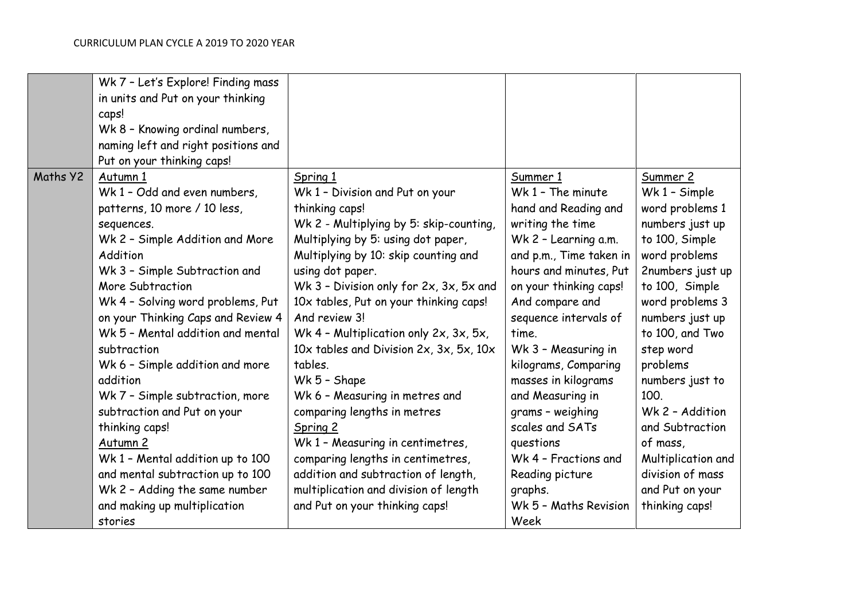|          | Wk 7 - Let's Explore! Finding mass          |                                         |                         |                    |
|----------|---------------------------------------------|-----------------------------------------|-------------------------|--------------------|
|          | in units and Put on your thinking           |                                         |                         |                    |
|          | caps!                                       |                                         |                         |                    |
|          | Wk 8 - Knowing ordinal numbers,             |                                         |                         |                    |
|          | naming left and right positions and         |                                         |                         |                    |
|          | Put on your thinking caps!                  |                                         |                         |                    |
| Maths Y2 | Autumn 1                                    | Spring 1                                | Summer 1                | Summer 2           |
|          | Wk 1 - Odd and even numbers,                | Wk 1 - Division and Put on your         | Wk 1 - The minute       | Wk 1 - Simple      |
|          | patterns, 10 more / 10 less,                | thinking caps!                          | hand and Reading and    | word problems 1    |
|          | sequences.                                  | Wk 2 - Multiplying by 5: skip-counting, | writing the time        | numbers just up    |
|          | Wk 2 - Simple Addition and More             | Multiplying by 5: using dot paper,      | Wk 2 - Learning a.m.    | to 100, Simple     |
|          | Addition                                    | Multiplying by 10: skip counting and    | and p.m., Time taken in | word problems      |
|          | Wk 3 - Simple Subtraction and               | using dot paper.                        | hours and minutes, Put  | 2numbers just up   |
|          | More Subtraction                            | Wk 3 - Division only for 2x, 3x, 5x and | on your thinking caps!  | to 100, Simple     |
|          | Wk 4 - Solving word problems, Put           | 10x tables, Put on your thinking caps!  | And compare and         | word problems 3    |
|          | on your Thinking Caps and Review 4          | And review 3!                           | sequence intervals of   | numbers just up    |
|          | Wk 5 - Mental addition and mental           | Wk 4 - Multiplication only 2x, 3x, 5x,  | time.                   | to 100, and Two    |
|          | subtraction                                 | 10x tables and Division 2x, 3x, 5x, 10x | Wk 3 - Measuring in     | step word          |
|          |                                             | tables.                                 |                         | problems           |
|          | Wk 6 - Simple addition and more<br>addition |                                         | kilograms, Comparing    |                    |
|          |                                             | Wk 5 - Shape                            | masses in kilograms     | numbers just to    |
|          | Wk 7 - Simple subtraction, more             | Wk 6 - Measuring in metres and          | and Measuring in        | 100.               |
|          | subtraction and Put on your                 | comparing lengths in metres             | grams - weighing        | Wk 2 - Addition    |
|          | thinking caps!                              | Spring 2                                | scales and SATs         | and Subtraction    |
|          | Autumn 2                                    | Wk 1 - Measuring in centimetres,        | questions               | of mass,           |
|          | Wk 1 - Mental addition up to 100            | comparing lengths in centimetres,       | Wk 4 - Fractions and    | Multiplication and |
|          | and mental subtraction up to 100            | addition and subtraction of length,     | Reading picture         | division of mass   |
|          | Wk 2 - Adding the same number               | multiplication and division of length   | graphs.                 | and Put on your    |
|          | and making up multiplication                | and Put on your thinking caps!          | Wk 5 - Maths Revision   | thinking caps!     |
|          | stories                                     |                                         | Week                    |                    |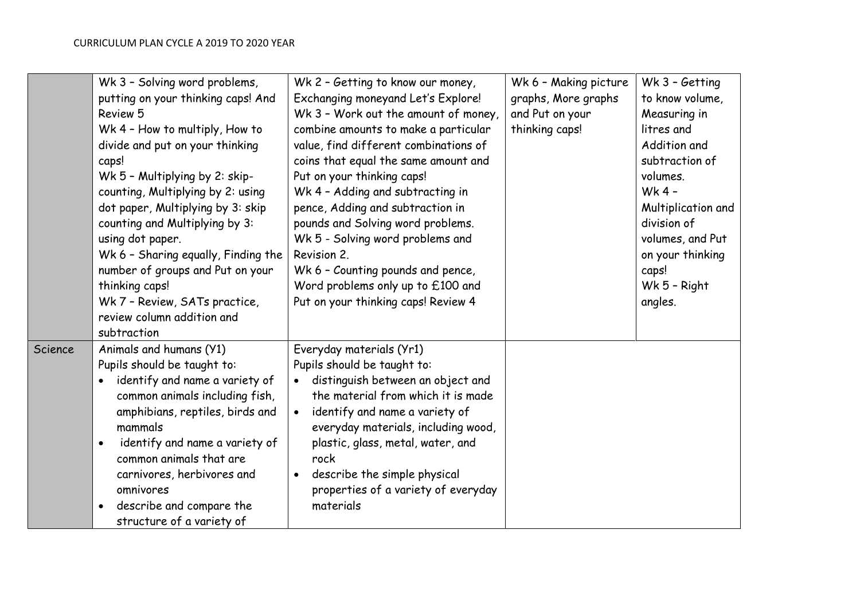|         | Wk 3 - Solving word problems,<br>putting on your thinking caps! And<br>Review 5<br>Wk 4 - How to multiply, How to<br>divide and put on your thinking<br>caps!<br>Wk 5 - Multiplying by 2: skip-<br>counting, Multiplying by 2: using<br>dot paper, Multiplying by 3: skip<br>counting and Multiplying by 3:<br>using dot paper.<br>Wk 6 - Sharing equally, Finding the<br>number of groups and Put on your<br>thinking caps!<br>Wk 7 - Review, SATs practice,<br>review column addition and<br>subtraction | Wk 2 - Getting to know our money,<br>Exchanging moneyand Let's Explore!<br>Wk 3 - Work out the amount of money,<br>combine amounts to make a particular<br>value, find different combinations of<br>coins that equal the same amount and<br>Put on your thinking caps!<br>Wk 4 - Adding and subtracting in<br>pence, Adding and subtraction in<br>pounds and Solving word problems.<br>Wk 5 - Solving word problems and<br>Revision 2.<br>Wk 6 - Counting pounds and pence,<br>Word problems only up to £100 and<br>Put on your thinking caps! Review 4 | Wk 6 - Making picture<br>graphs, More graphs<br>and Put on your<br>thinking caps! | Wk 3 - Getting<br>to know volume,<br>Measuring in<br>litres and<br>Addition and<br>subtraction of<br>volumes.<br>Wk 4 -<br>Multiplication and<br>division of<br>volumes, and Put<br>on your thinking<br>caps!<br>Wk 5 - Right<br>angles. |
|---------|------------------------------------------------------------------------------------------------------------------------------------------------------------------------------------------------------------------------------------------------------------------------------------------------------------------------------------------------------------------------------------------------------------------------------------------------------------------------------------------------------------|---------------------------------------------------------------------------------------------------------------------------------------------------------------------------------------------------------------------------------------------------------------------------------------------------------------------------------------------------------------------------------------------------------------------------------------------------------------------------------------------------------------------------------------------------------|-----------------------------------------------------------------------------------|------------------------------------------------------------------------------------------------------------------------------------------------------------------------------------------------------------------------------------------|
| Science | Animals and humans (Y1)<br>Pupils should be taught to:<br>identify and name a variety of<br>common animals including fish,<br>amphibians, reptiles, birds and<br>mammals<br>identify and name a variety of<br>common animals that are<br>carnivores, herbivores and<br>omnivores<br>describe and compare the<br>structure of a variety of                                                                                                                                                                  | Everyday materials (Yr1)<br>Pupils should be taught to:<br>distinguish between an object and<br>the material from which it is made<br>identify and name a variety of<br>$\bullet$<br>everyday materials, including wood,<br>plastic, glass, metal, water, and<br>rock<br>describe the simple physical<br>properties of a variety of everyday<br>materials                                                                                                                                                                                               |                                                                                   |                                                                                                                                                                                                                                          |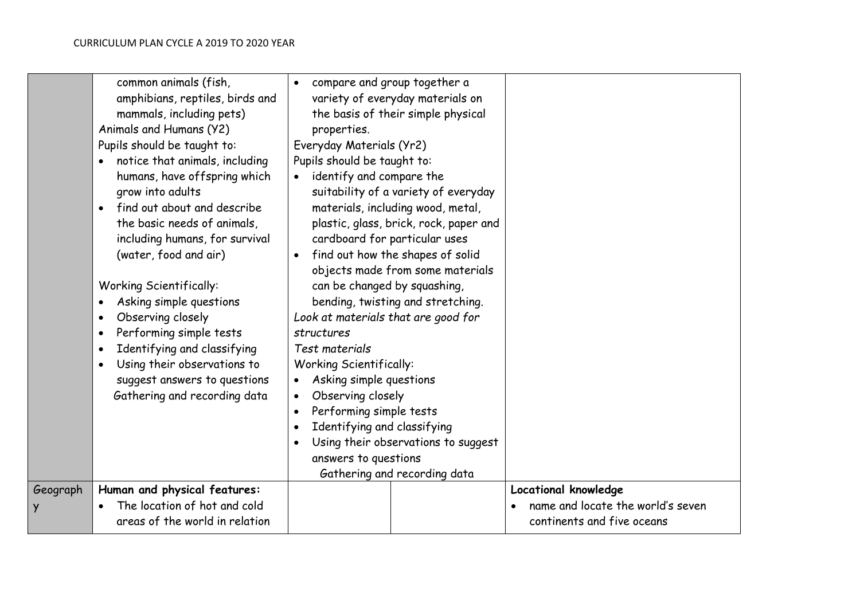|          | common animals (fish,<br>amphibians, reptiles, birds and<br>mammals, including pets)<br>Animals and Humans (Y2)<br>Pupils should be taught to:<br>notice that animals, including<br>$\bullet$<br>humans, have offspring which<br>grow into adults<br>find out about and describe<br>$\bullet$<br>the basic needs of animals,<br>including humans, for survival<br>(water, food and air)<br><b>Working Scientifically:</b><br>Asking simple questions<br>$\bullet$<br>Observing closely<br>$\bullet$<br>Performing simple tests<br>$\bullet$<br>Identifying and classifying<br>$\bullet$<br>Using their observations to<br>$\bullet$<br>suggest answers to questions<br>Gathering and recording data | compare and group together a<br>$\bullet$<br>variety of everyday materials on<br>the basis of their simple physical<br>properties.<br>Everyday Materials (Yr2)<br>Pupils should be taught to:<br>identify and compare the<br>suitability of a variety of everyday<br>materials, including wood, metal,<br>plastic, glass, brick, rock, paper and<br>cardboard for particular uses<br>find out how the shapes of solid<br>$\bullet$<br>objects made from some materials<br>can be changed by squashing,<br>bending, twisting and stretching.<br>Look at materials that are good for<br>structures<br>Test materials<br><b>Working Scientifically:</b><br>Asking simple questions<br>Observing closely<br>Performing simple tests<br>Identifying and classifying |                                                                 |
|----------|-----------------------------------------------------------------------------------------------------------------------------------------------------------------------------------------------------------------------------------------------------------------------------------------------------------------------------------------------------------------------------------------------------------------------------------------------------------------------------------------------------------------------------------------------------------------------------------------------------------------------------------------------------------------------------------------------------|----------------------------------------------------------------------------------------------------------------------------------------------------------------------------------------------------------------------------------------------------------------------------------------------------------------------------------------------------------------------------------------------------------------------------------------------------------------------------------------------------------------------------------------------------------------------------------------------------------------------------------------------------------------------------------------------------------------------------------------------------------------|-----------------------------------------------------------------|
|          |                                                                                                                                                                                                                                                                                                                                                                                                                                                                                                                                                                                                                                                                                                     | Using their observations to suggest<br>$\bullet$                                                                                                                                                                                                                                                                                                                                                                                                                                                                                                                                                                                                                                                                                                               |                                                                 |
|          |                                                                                                                                                                                                                                                                                                                                                                                                                                                                                                                                                                                                                                                                                                     | answers to questions<br>Gathering and recording data                                                                                                                                                                                                                                                                                                                                                                                                                                                                                                                                                                                                                                                                                                           |                                                                 |
| Geograph | Human and physical features:                                                                                                                                                                                                                                                                                                                                                                                                                                                                                                                                                                                                                                                                        |                                                                                                                                                                                                                                                                                                                                                                                                                                                                                                                                                                                                                                                                                                                                                                | Locational knowledge                                            |
| Y        | The location of hot and cold<br>$\bullet$<br>areas of the world in relation                                                                                                                                                                                                                                                                                                                                                                                                                                                                                                                                                                                                                         |                                                                                                                                                                                                                                                                                                                                                                                                                                                                                                                                                                                                                                                                                                                                                                | name and locate the world's seven<br>continents and five oceans |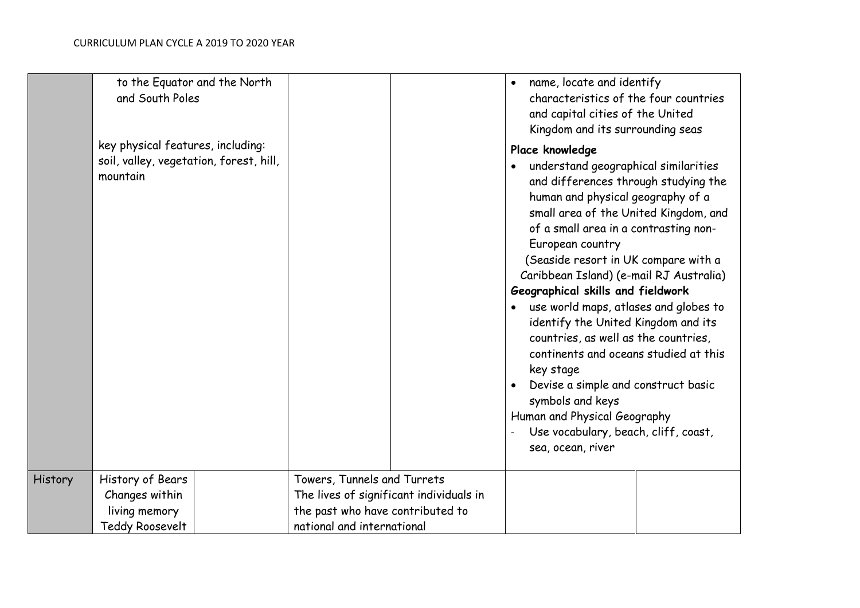|         | to the Equator and the North<br>and South Poles                                          |                                         | name, locate and identify<br>$\bullet$<br>characteristics of the four countries<br>and capital cities of the United<br>Kingdom and its surrounding seas                                                                                                                                                                                                                                                                                                                                                                                                                                                                                                                                                  |
|---------|------------------------------------------------------------------------------------------|-----------------------------------------|----------------------------------------------------------------------------------------------------------------------------------------------------------------------------------------------------------------------------------------------------------------------------------------------------------------------------------------------------------------------------------------------------------------------------------------------------------------------------------------------------------------------------------------------------------------------------------------------------------------------------------------------------------------------------------------------------------|
|         | key physical features, including:<br>soil, valley, vegetation, forest, hill,<br>mountain |                                         | Place knowledge<br>understand geographical similarities<br>and differences through studying the<br>human and physical geography of a<br>small area of the United Kingdom, and<br>of a small area in a contrasting non-<br>European country<br>(Seaside resort in UK compare with a<br>Caribbean Island) (e-mail RJ Australia)<br>Geographical skills and fieldwork<br>use world maps, atlases and globes to<br>identify the United Kingdom and its<br>countries, as well as the countries,<br>continents and oceans studied at this<br>key stage<br>Devise a simple and construct basic<br>symbols and keys<br>Human and Physical Geography<br>Use vocabulary, beach, cliff, coast,<br>sea, ocean, river |
| History | History of Bears                                                                         | Towers, Tunnels and Turrets             |                                                                                                                                                                                                                                                                                                                                                                                                                                                                                                                                                                                                                                                                                                          |
|         | Changes within                                                                           | The lives of significant individuals in |                                                                                                                                                                                                                                                                                                                                                                                                                                                                                                                                                                                                                                                                                                          |
|         | living memory                                                                            | the past who have contributed to        |                                                                                                                                                                                                                                                                                                                                                                                                                                                                                                                                                                                                                                                                                                          |
|         | <b>Teddy Roosevelt</b>                                                                   | national and international              |                                                                                                                                                                                                                                                                                                                                                                                                                                                                                                                                                                                                                                                                                                          |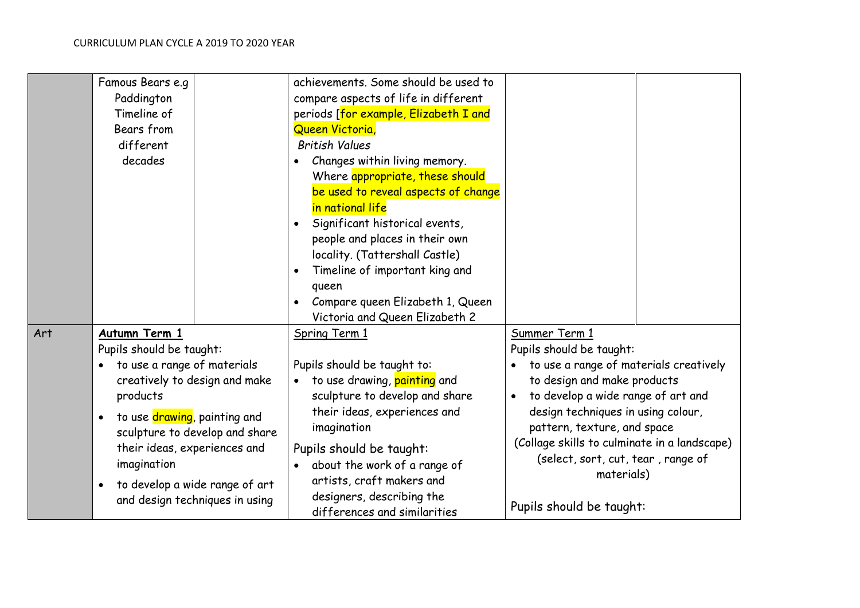|     | Famous Bears e.g                                        | achievements. Some should be used to        |                                              |
|-----|---------------------------------------------------------|---------------------------------------------|----------------------------------------------|
|     | Paddington                                              | compare aspects of life in different        |                                              |
|     | Timeline of                                             | periods [for example, Elizabeth I and       |                                              |
|     | Bears from                                              | Queen Victoria,                             |                                              |
|     | different                                               | <b>British Values</b>                       |                                              |
|     | decades                                                 | Changes within living memory.               |                                              |
|     |                                                         | Where appropriate, these should             |                                              |
|     |                                                         | be used to reveal aspects of change         |                                              |
|     |                                                         | in national life                            |                                              |
|     |                                                         | Significant historical events,<br>$\bullet$ |                                              |
|     |                                                         | people and places in their own              |                                              |
|     |                                                         | locality. (Tattershall Castle)              |                                              |
|     |                                                         | Timeline of important king and              |                                              |
|     |                                                         | queen                                       |                                              |
|     |                                                         | Compare queen Elizabeth 1, Queen            |                                              |
|     |                                                         | Victoria and Queen Elizabeth 2              |                                              |
| Art | Autumn Term 1                                           | Spring Term 1                               | Summer Term 1                                |
|     | Pupils should be taught:                                |                                             | Pupils should be taught:                     |
|     | to use a range of materials                             | Pupils should be taught to:                 | to use a range of materials creatively       |
|     | creatively to design and make                           | to use drawing, painting and<br>$\bullet$   | to design and make products                  |
|     | products                                                | sculpture to develop and share              | to develop a wide range of art and           |
|     | to use <mark>drawing</mark> , painting and<br>$\bullet$ | their ideas, experiences and                | design techniques in using colour,           |
|     | sculpture to develop and share                          | imagination                                 | pattern, texture, and space                  |
|     | their ideas, experiences and                            | Pupils should be taught:                    | (Collage skills to culminate in a landscape) |
|     | imagination                                             | about the work of a range of<br>$\bullet$   | (select, sort, cut, tear, range of           |
|     |                                                         | artists, craft makers and                   | materials)                                   |
|     | to develop a wide range of art<br>$\bullet$             | designers, describing the                   |                                              |
|     | and design techniques in using                          | differences and similarities                | Pupils should be taught:                     |
|     |                                                         |                                             |                                              |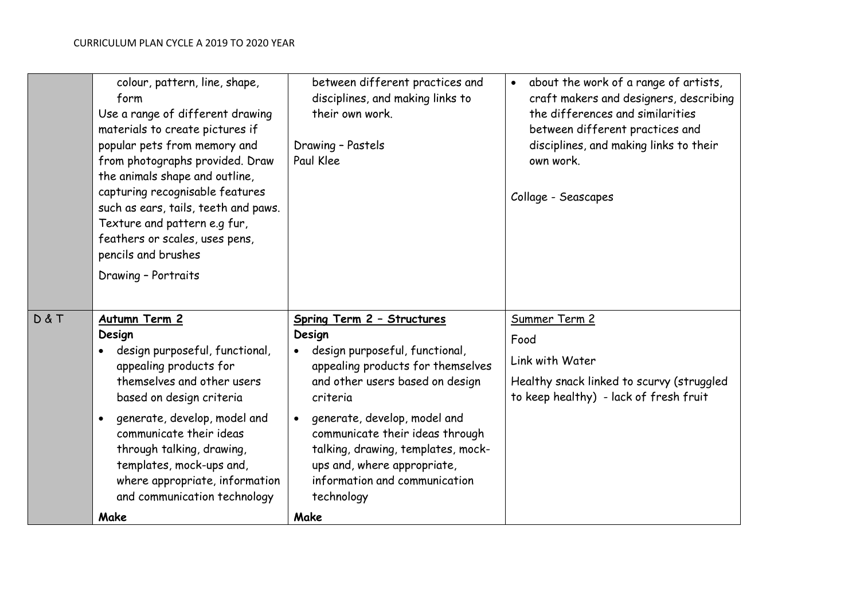|       | colour, pattern, line, shape,<br>form<br>Use a range of different drawing<br>materials to create pictures if<br>popular pets from memory and<br>from photographs provided. Draw<br>the animals shape and outline,<br>capturing recognisable features<br>such as ears, tails, teeth and paws.<br>Texture and pattern e.g fur,<br>feathers or scales, uses pens,<br>pencils and brushes<br>Drawing - Portraits | between different practices and<br>disciplines, and making links to<br>their own work.<br>Drawing - Pastels<br>Paul Klee                                                                                                                                                                                                                                               | about the work of a range of artists,<br>$\bullet$<br>craft makers and designers, describing<br>the differences and similarities<br>between different practices and<br>disciplines, and making links to their<br>own work.<br>Collage - Seascapes |
|-------|--------------------------------------------------------------------------------------------------------------------------------------------------------------------------------------------------------------------------------------------------------------------------------------------------------------------------------------------------------------------------------------------------------------|------------------------------------------------------------------------------------------------------------------------------------------------------------------------------------------------------------------------------------------------------------------------------------------------------------------------------------------------------------------------|---------------------------------------------------------------------------------------------------------------------------------------------------------------------------------------------------------------------------------------------------|
| D & T | Autumn Term 2<br>Design<br>design purposeful, functional,<br>appealing products for<br>themselves and other users<br>based on design criteria<br>generate, develop, model and<br>communicate their ideas<br>through talking, drawing,<br>templates, mock-ups and,<br>where appropriate, information<br>and communication technology<br>Make                                                                  | Spring Term 2 - Structures<br>Design<br>design purposeful, functional,<br>appealing products for themselves<br>and other users based on design<br>criteria<br>generate, develop, model and<br>$\bullet$<br>communicate their ideas through<br>talking, drawing, templates, mock-<br>ups and, where appropriate,<br>information and communication<br>technology<br>Make | Summer Term 2<br>Food<br>Link with Water<br>Healthy snack linked to scurvy (struggled<br>to keep healthy) - lack of fresh fruit                                                                                                                   |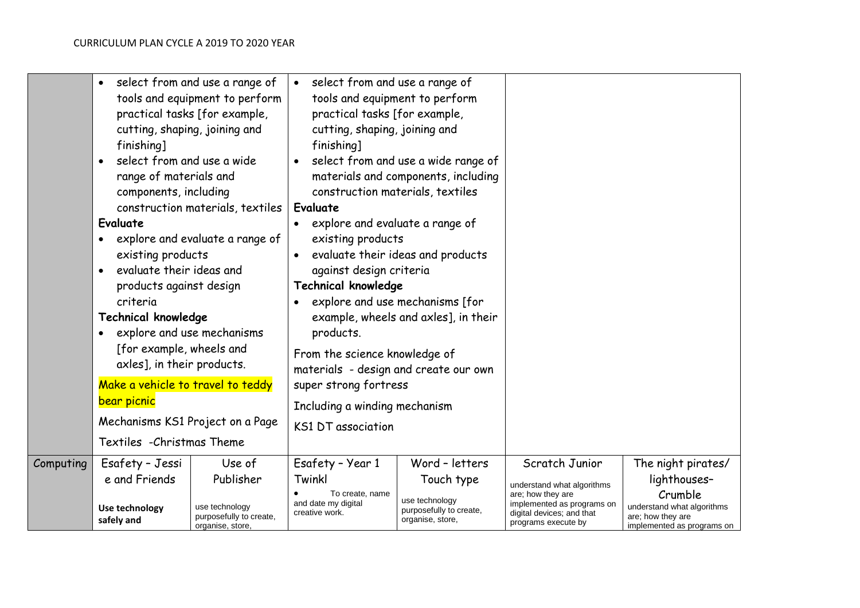|           | $\bullet$<br>cutting, shaping, joining and<br>finishing]<br>select from and use a wide<br>$\bullet$<br>range of materials and<br>components, including<br>Evaluate<br>$\bullet$<br>existing products<br>evaluate their ideas and<br>$\bullet$<br>products against design<br>criteria<br><b>Technical knowledge</b><br>explore and use mechanisms<br>$\bullet$<br>[for example, wheels and<br>axles], in their products.<br>Make a vehicle to travel to teddy<br>bear picnic<br>Mechanisms KS1 Project on a Page<br>Textiles - Christmas Theme | select from and use a range of<br>tools and equipment to perform<br>practical tasks [for example,<br>construction materials, textiles<br>explore and evaluate a range of | • select from and use a range of<br>tools and equipment to perform<br>practical tasks [for example,<br>cutting, shaping, joining and<br>finishing]<br>$\bullet$<br>construction materials, textiles<br>Evaluate<br>explore and evaluate a range of<br>existing products<br>against design criteria<br><b>Technical knowledge</b><br>$\bullet$<br>products.<br>From the science knowledge of<br>materials - design and create our own<br>super strong fortress<br>Including a winding mechanism<br><b>KS1 DT association</b> | select from and use a wide range of<br>materials and components, including<br>evaluate their ideas and products<br>explore and use mechanisms [for<br>example, wheels and axles], in their |                                                                                                     |                                                                                          |
|-----------|-----------------------------------------------------------------------------------------------------------------------------------------------------------------------------------------------------------------------------------------------------------------------------------------------------------------------------------------------------------------------------------------------------------------------------------------------------------------------------------------------------------------------------------------------|--------------------------------------------------------------------------------------------------------------------------------------------------------------------------|-----------------------------------------------------------------------------------------------------------------------------------------------------------------------------------------------------------------------------------------------------------------------------------------------------------------------------------------------------------------------------------------------------------------------------------------------------------------------------------------------------------------------------|--------------------------------------------------------------------------------------------------------------------------------------------------------------------------------------------|-----------------------------------------------------------------------------------------------------|------------------------------------------------------------------------------------------|
| Computing | Esafety - Jessi                                                                                                                                                                                                                                                                                                                                                                                                                                                                                                                               | Use of                                                                                                                                                                   | Esafety - Year 1                                                                                                                                                                                                                                                                                                                                                                                                                                                                                                            | Word - letters                                                                                                                                                                             | Scratch Junior                                                                                      | The night pirates/                                                                       |
|           | e and Friends                                                                                                                                                                                                                                                                                                                                                                                                                                                                                                                                 | Publisher                                                                                                                                                                | Twinkl                                                                                                                                                                                                                                                                                                                                                                                                                                                                                                                      | Touch type                                                                                                                                                                                 | understand what algorithms                                                                          | lighthouses-                                                                             |
|           | Use technology<br>safely and                                                                                                                                                                                                                                                                                                                                                                                                                                                                                                                  | use technology<br>purposefully to create,<br>organise, store,                                                                                                            | To create, name<br>and date my digital<br>creative work.                                                                                                                                                                                                                                                                                                                                                                                                                                                                    | use technology<br>purposefully to create,<br>organise, store,                                                                                                                              | are; how they are<br>implemented as programs on<br>digital devices; and that<br>programs execute by | Crumble<br>understand what algorithms<br>are; how they are<br>implemented as programs on |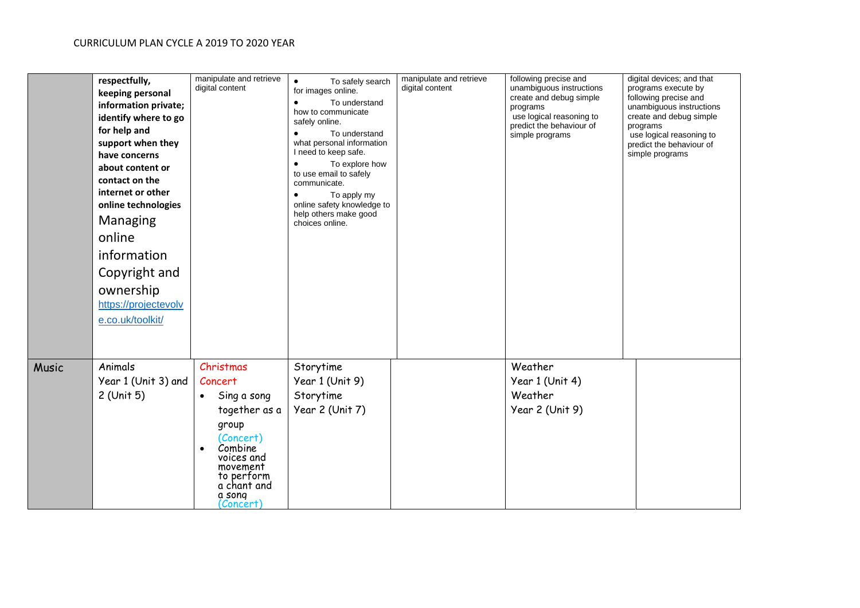|              | respectfully,<br>keeping personal<br>information private;<br>identify where to go<br>for help and<br>support when they<br>have concerns<br>about content or<br>contact on the<br>internet or other<br>online technologies<br>Managing<br>online<br>information<br>Copyright and<br>ownership<br>https://projectevolv<br>e.co.uk/toolkit/ | manipulate and retrieve<br>digital content                                                                                                                                                    | To safely search<br>$\bullet$<br>for images online.<br>To understand<br>$\bullet$<br>how to communicate<br>safely online.<br>$\bullet$<br>To understand<br>what personal information<br>I need to keep safe.<br>$\bullet$<br>To explore how<br>to use email to safely<br>communicate.<br>To apply my<br>online safety knowledge to<br>help others make good<br>choices online. | manipulate and retrieve<br>digital content | following precise and<br>unambiguous instructions<br>create and debug simple<br>programs<br>use logical reasoning to<br>predict the behaviour of<br>simple programs | digital devices; and that<br>programs execute by<br>following precise and<br>unambiguous instructions<br>create and debug simple<br>programs<br>use logical reasoning to<br>predict the behaviour of<br>simple programs |
|--------------|------------------------------------------------------------------------------------------------------------------------------------------------------------------------------------------------------------------------------------------------------------------------------------------------------------------------------------------|-----------------------------------------------------------------------------------------------------------------------------------------------------------------------------------------------|--------------------------------------------------------------------------------------------------------------------------------------------------------------------------------------------------------------------------------------------------------------------------------------------------------------------------------------------------------------------------------|--------------------------------------------|---------------------------------------------------------------------------------------------------------------------------------------------------------------------|-------------------------------------------------------------------------------------------------------------------------------------------------------------------------------------------------------------------------|
| <b>Music</b> | Animals<br>Year 1 (Unit 3) and<br>2 (Unit 5)                                                                                                                                                                                                                                                                                             | Christmas<br>Concert<br>Sing a song<br>$\bullet$<br>together as a<br>group<br>(Concert)<br>Combine<br>$\bullet$<br>voices and<br>movement<br>to perform<br>a chant and<br>a song<br>(Concert) | Storytime<br>Year 1 (Unit 9)<br>Storytime<br>Year 2 (Unit 7)                                                                                                                                                                                                                                                                                                                   |                                            | Weather<br>Year 1 (Unit 4)<br>Weather<br>Year 2 (Unit 9)                                                                                                            |                                                                                                                                                                                                                         |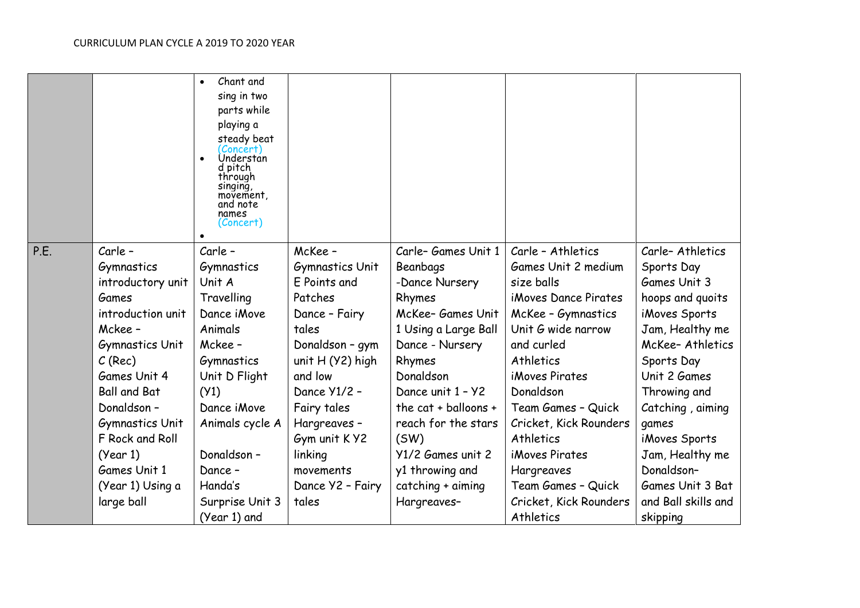|                                                                                                                                                                                                                                                                                                    | parts while<br>playing a<br>steady beat<br>(Concert)<br>Understan<br>d pitch<br>through<br>singing,<br>movement,<br>and note<br>names<br>(Concert)                                                                 |                                                                                                                                                                                                                                                               |                                                                                                                                                                                                                                                                                                           |                                                                                                                                                                                                                                                                                                                                          |                                                                                                                                                                                                                                                                                                  |
|----------------------------------------------------------------------------------------------------------------------------------------------------------------------------------------------------------------------------------------------------------------------------------------------------|--------------------------------------------------------------------------------------------------------------------------------------------------------------------------------------------------------------------|---------------------------------------------------------------------------------------------------------------------------------------------------------------------------------------------------------------------------------------------------------------|-----------------------------------------------------------------------------------------------------------------------------------------------------------------------------------------------------------------------------------------------------------------------------------------------------------|------------------------------------------------------------------------------------------------------------------------------------------------------------------------------------------------------------------------------------------------------------------------------------------------------------------------------------------|--------------------------------------------------------------------------------------------------------------------------------------------------------------------------------------------------------------------------------------------------------------------------------------------------|
| P.E.<br>Carle -<br>Gymnastics<br>introductory unit<br>Games<br>introduction unit<br>Mckee -<br><b>Gymnastics Unit</b><br>$C$ (Rec)<br>Games Unit 4<br><b>Ball and Bat</b><br>Donaldson-<br><b>Gymnastics Unit</b><br>F Rock and Roll<br>(Year 1)<br>Games Unit 1<br>(Year 1) Using a<br>large ball | Carle -<br>Gymnastics<br>Unit A<br>Travelling<br>Dance iMove<br>Animals<br>Mckee -<br>Gymnastics<br>Unit D Flight<br>(Y1)<br>Dance iMove<br>Animals cycle A<br>Donaldson-<br>Dance -<br>Handa's<br>Surprise Unit 3 | McKee -<br><b>Gymnastics Unit</b><br>E Points and<br>Patches<br>Dance - Fairy<br>tales<br>Donaldson - gym<br>unit $H(Y2)$ high<br>and low<br>Dance Y1/2 -<br>Fairy tales<br>Hargreaves-<br>Gym unit K Y2<br>linking<br>movements<br>Dance Y2 - Fairy<br>tales | Carle-Games Unit 1<br>Beanbags<br>-Dance Nursery<br>Rhymes<br>McKee- Games Unit<br>1 Using a Large Ball<br>Dance - Nursery<br>Rhymes<br>Donaldson<br>Dance unit 1 - Y2<br>the cat + balloons +<br>reach for the stars<br>(SW)<br>Y1/2 Games unit 2<br>y1 throwing and<br>catching + aiming<br>Hargreaves- | Carle - Athletics<br>Games Unit 2 medium<br>size balls<br>iMoves Dance Pirates<br>McKee - Gymnastics<br>Unit G wide narrow<br>and curled<br>Athletics<br>iMoves Pirates<br>Donaldson<br>Team Games - Quick<br>Cricket, Kick Rounders<br>Athletics<br><i>iMoves Pirates</i><br>Hargreaves<br>Team Games - Quick<br>Cricket, Kick Rounders | Carle-Athletics<br>Sports Day<br>Games Unit 3<br>hoops and quoits<br>iMoves Sports<br>Jam, Healthy me<br>McKee-Athletics<br>Sports Day<br>Unit 2 Games<br>Throwing and<br>Catching, aiming<br>games<br>iMoves Sports<br>Jam, Healthy me<br>Donaldson-<br>Games Unit 3 Bat<br>and Ball skills and |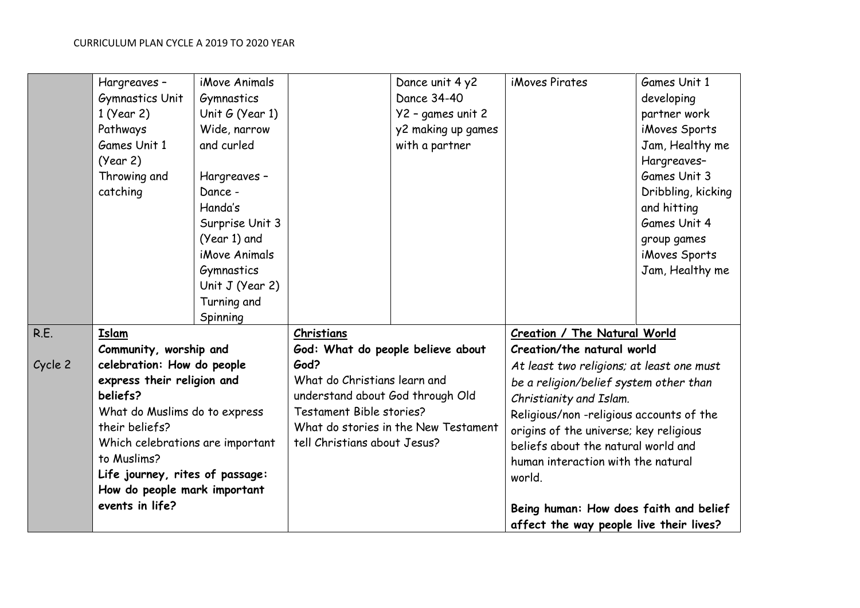|         | Hargreaves-                                                                                                                                                                                                                                   | iMove Animals     |                                                                                                                                                                              | Dance unit 4 y2    | iMoves Pirates                                                                                                                                                                                                                                | Games Unit 1       |
|---------|-----------------------------------------------------------------------------------------------------------------------------------------------------------------------------------------------------------------------------------------------|-------------------|------------------------------------------------------------------------------------------------------------------------------------------------------------------------------|--------------------|-----------------------------------------------------------------------------------------------------------------------------------------------------------------------------------------------------------------------------------------------|--------------------|
|         | <b>Gymnastics Unit</b>                                                                                                                                                                                                                        | Gymnastics        |                                                                                                                                                                              | Dance 34-40        |                                                                                                                                                                                                                                               | developing         |
|         | 1 (Year 2)                                                                                                                                                                                                                                    | Unit $G$ (Year 1) |                                                                                                                                                                              | Y2 - games unit 2  |                                                                                                                                                                                                                                               | partner work       |
|         | Pathways                                                                                                                                                                                                                                      | Wide, narrow      |                                                                                                                                                                              | y2 making up games |                                                                                                                                                                                                                                               | iMoves Sports      |
|         | Games Unit 1                                                                                                                                                                                                                                  | and curled        |                                                                                                                                                                              |                    |                                                                                                                                                                                                                                               |                    |
|         |                                                                                                                                                                                                                                               |                   |                                                                                                                                                                              | with a partner     |                                                                                                                                                                                                                                               | Jam, Healthy me    |
|         | (Year 2)                                                                                                                                                                                                                                      |                   |                                                                                                                                                                              |                    |                                                                                                                                                                                                                                               | Hargreaves-        |
|         | Throwing and                                                                                                                                                                                                                                  | Hargreaves -      |                                                                                                                                                                              |                    |                                                                                                                                                                                                                                               | Games Unit 3       |
|         | catching                                                                                                                                                                                                                                      | Dance -           |                                                                                                                                                                              |                    |                                                                                                                                                                                                                                               | Dribbling, kicking |
|         |                                                                                                                                                                                                                                               | Handa's           |                                                                                                                                                                              |                    |                                                                                                                                                                                                                                               | and hitting        |
|         |                                                                                                                                                                                                                                               | Surprise Unit 3   |                                                                                                                                                                              |                    |                                                                                                                                                                                                                                               | Games Unit 4       |
|         |                                                                                                                                                                                                                                               | (Year 1) and      |                                                                                                                                                                              |                    |                                                                                                                                                                                                                                               | group games        |
|         |                                                                                                                                                                                                                                               | iMove Animals     |                                                                                                                                                                              |                    |                                                                                                                                                                                                                                               | iMoves Sports      |
|         |                                                                                                                                                                                                                                               | Gymnastics        |                                                                                                                                                                              |                    |                                                                                                                                                                                                                                               | Jam, Healthy me    |
|         |                                                                                                                                                                                                                                               | Unit $J$ (Year 2) |                                                                                                                                                                              |                    |                                                                                                                                                                                                                                               |                    |
|         |                                                                                                                                                                                                                                               | Turning and       |                                                                                                                                                                              |                    |                                                                                                                                                                                                                                               |                    |
|         |                                                                                                                                                                                                                                               | Spinning          |                                                                                                                                                                              |                    |                                                                                                                                                                                                                                               |                    |
| R.E.    | Islam<br>Community, worship and                                                                                                                                                                                                               |                   | Christians<br>God: What do people believe about                                                                                                                              |                    | Creation / The Natural World                                                                                                                                                                                                                  |                    |
|         |                                                                                                                                                                                                                                               |                   |                                                                                                                                                                              |                    | Creation/the natural world                                                                                                                                                                                                                    |                    |
| Cycle 2 | celebration: How do people<br>express their religion and<br>beliefs?<br>What do Muslims do to express<br>their beliefs?<br>Which celebrations are important<br>to Muslims?<br>Life journey, rites of passage:<br>How do people mark important |                   | God?<br>What do Christians learn and<br>understand about God through Old<br>Testament Bible stories?<br>What do stories in the New Testament<br>tell Christians about Jesus? |                    | At least two religions; at least one must                                                                                                                                                                                                     |                    |
|         |                                                                                                                                                                                                                                               |                   |                                                                                                                                                                              |                    | be a religion/belief system other than<br>Christianity and Islam.<br>Religious/non-religious accounts of the<br>origins of the universe; key religious<br>beliefs about the natural world and<br>human interaction with the natural<br>world. |                    |
|         |                                                                                                                                                                                                                                               |                   |                                                                                                                                                                              |                    |                                                                                                                                                                                                                                               |                    |
|         |                                                                                                                                                                                                                                               |                   |                                                                                                                                                                              |                    |                                                                                                                                                                                                                                               |                    |
|         |                                                                                                                                                                                                                                               |                   |                                                                                                                                                                              |                    |                                                                                                                                                                                                                                               |                    |
|         |                                                                                                                                                                                                                                               |                   |                                                                                                                                                                              |                    |                                                                                                                                                                                                                                               |                    |
|         |                                                                                                                                                                                                                                               |                   |                                                                                                                                                                              |                    |                                                                                                                                                                                                                                               |                    |
|         |                                                                                                                                                                                                                                               |                   |                                                                                                                                                                              |                    |                                                                                                                                                                                                                                               |                    |
|         |                                                                                                                                                                                                                                               |                   |                                                                                                                                                                              |                    |                                                                                                                                                                                                                                               |                    |
|         | events in life?                                                                                                                                                                                                                               |                   |                                                                                                                                                                              |                    | Being human: How does faith and belief<br>affect the way people live their lives?                                                                                                                                                             |                    |
|         |                                                                                                                                                                                                                                               |                   |                                                                                                                                                                              |                    |                                                                                                                                                                                                                                               |                    |
|         |                                                                                                                                                                                                                                               |                   |                                                                                                                                                                              |                    |                                                                                                                                                                                                                                               |                    |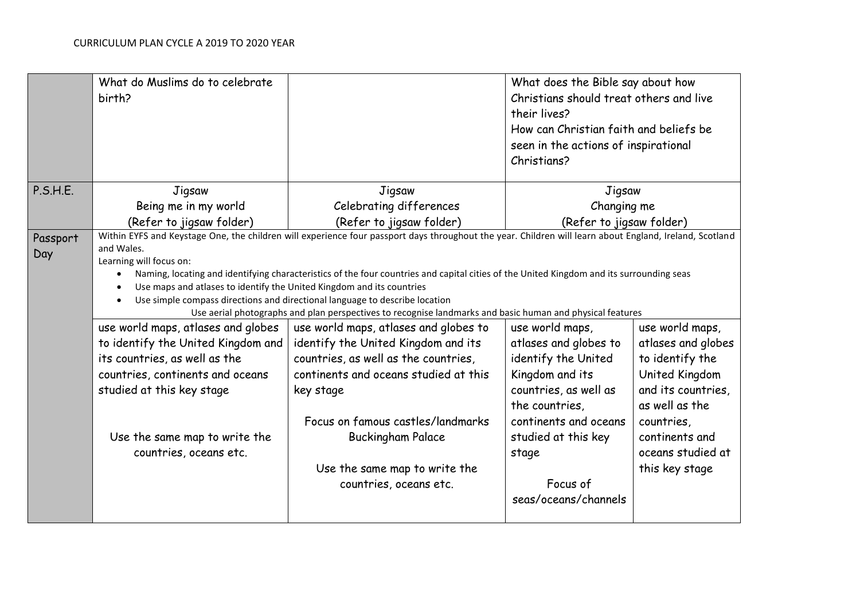|                 | What do Muslims do to celebrate<br>birth?                                                                                                                                                                                                                                                                                                                                                                                                                                                                                                                                                                                      |                                                                                                                          | What does the Bible say about how<br>Christians should treat others and live<br>their lives?<br>How can Christian faith and beliefs be<br>seen in the actions of inspirational<br>Christians? |                                                                     |
|-----------------|--------------------------------------------------------------------------------------------------------------------------------------------------------------------------------------------------------------------------------------------------------------------------------------------------------------------------------------------------------------------------------------------------------------------------------------------------------------------------------------------------------------------------------------------------------------------------------------------------------------------------------|--------------------------------------------------------------------------------------------------------------------------|-----------------------------------------------------------------------------------------------------------------------------------------------------------------------------------------------|---------------------------------------------------------------------|
| P.S.H.E.        | Jigsaw                                                                                                                                                                                                                                                                                                                                                                                                                                                                                                                                                                                                                         | Jigsaw                                                                                                                   | Jigsaw                                                                                                                                                                                        |                                                                     |
|                 | Being me in my world                                                                                                                                                                                                                                                                                                                                                                                                                                                                                                                                                                                                           | Celebrating differences                                                                                                  | Changing me                                                                                                                                                                                   |                                                                     |
|                 | (Refer to jigsaw folder)                                                                                                                                                                                                                                                                                                                                                                                                                                                                                                                                                                                                       | (Refer to jigsaw folder)                                                                                                 | (Refer to jigsaw folder)                                                                                                                                                                      |                                                                     |
| Passport<br>Day | Within EYFS and Keystage One, the children will experience four passport days throughout the year. Children will learn about England, Ireland, Scotland<br>and Wales.<br>Learning will focus on:<br>Naming, locating and identifying characteristics of the four countries and capital cities of the United Kingdom and its surrounding seas<br>$\bullet$<br>Use maps and atlases to identify the United Kingdom and its countries<br>Use simple compass directions and directional language to describe location<br>Use aerial photographs and plan perspectives to recognise landmarks and basic human and physical features |                                                                                                                          |                                                                                                                                                                                               |                                                                     |
|                 | use world maps, atlases and globes                                                                                                                                                                                                                                                                                                                                                                                                                                                                                                                                                                                             | use world maps, atlases and globes to                                                                                    | use world maps,                                                                                                                                                                               | use world maps,                                                     |
|                 | to identify the United Kingdom and                                                                                                                                                                                                                                                                                                                                                                                                                                                                                                                                                                                             | identify the United Kingdom and its                                                                                      | atlases and globes to                                                                                                                                                                         | atlases and globes                                                  |
|                 | its countries, as well as the                                                                                                                                                                                                                                                                                                                                                                                                                                                                                                                                                                                                  | countries, as well as the countries,                                                                                     | identify the United                                                                                                                                                                           | to identify the                                                     |
|                 | countries, continents and oceans<br>studied at this key stage                                                                                                                                                                                                                                                                                                                                                                                                                                                                                                                                                                  | continents and oceans studied at this<br>key stage                                                                       | Kingdom and its<br>countries, as well as<br>the countries,                                                                                                                                    | United Kingdom<br>and its countries,<br>as well as the              |
|                 | Use the same map to write the<br>countries, oceans etc.                                                                                                                                                                                                                                                                                                                                                                                                                                                                                                                                                                        | Focus on famous castles/landmarks<br><b>Buckingham Palace</b><br>Use the same map to write the<br>countries, oceans etc. | continents and oceans<br>studied at this key<br>stage<br>Focus of<br>seas/oceans/channels                                                                                                     | countries,<br>continents and<br>oceans studied at<br>this key stage |